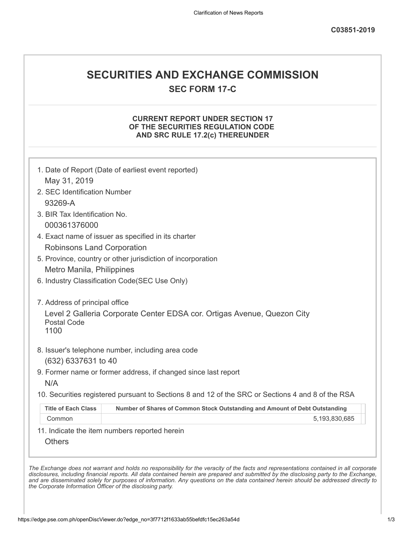## **SECURITIES AND EXCHANGE COMMISSION**

**SEC FORM 17-C**

## **CURRENT REPORT UNDER SECTION 17 OF THE SECURITIES REGULATION CODE AND SRC RULE 17.2(c) THEREUNDER**

|                                               | 1. Date of Report (Date of earliest event reported)                                               |
|-----------------------------------------------|---------------------------------------------------------------------------------------------------|
| May 31, 2019                                  |                                                                                                   |
| 2. SEC Identification Number                  |                                                                                                   |
| 93269-A                                       |                                                                                                   |
| 3. BIR Tax Identification No.                 |                                                                                                   |
| 000361376000                                  |                                                                                                   |
|                                               | 4. Exact name of issuer as specified in its charter                                               |
| <b>Robinsons Land Corporation</b>             |                                                                                                   |
|                                               | 5. Province, country or other jurisdiction of incorporation                                       |
| Metro Manila, Philippines                     |                                                                                                   |
|                                               | 6. Industry Classification Code(SEC Use Only)                                                     |
|                                               |                                                                                                   |
| 7. Address of principal office                |                                                                                                   |
| <b>Postal Code</b><br>1100                    | Level 2 Galleria Corporate Center EDSA cor. Ortigas Avenue, Quezon City                           |
|                                               | 8. Issuer's telephone number, including area code                                                 |
| (632) 6337631 to 40                           |                                                                                                   |
|                                               | 9. Former name or former address, if changed since last report                                    |
| N/A                                           |                                                                                                   |
|                                               | 10. Securities registered pursuant to Sections 8 and 12 of the SRC or Sections 4 and 8 of the RSA |
| <b>Title of Each Class</b>                    | Number of Shares of Common Stock Outstanding and Amount of Debt Outstanding                       |
| Common                                        | 5,193,830,685                                                                                     |
|                                               |                                                                                                   |
| 11. Indicate the item numbers reported herein |                                                                                                   |

*and are disseminated solely for purposes of information. Any questions on the data contained herein should be addressed directly to*

*the Corporate Information Officer of the disclosing party.*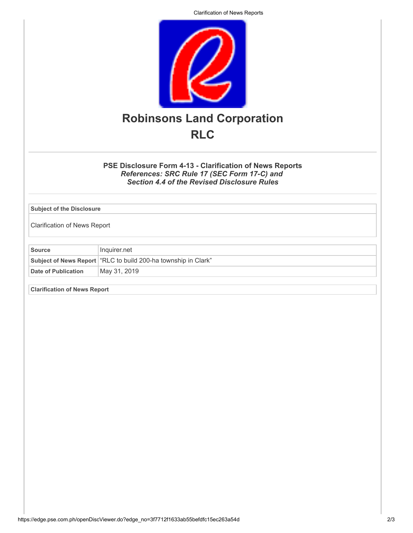Clarification of News Reports



**PSE Disclosure Form 4-13 - Clarification of News Reports** *References: SRC Rule 17 (SEC Form 17-C) and Section 4.4 of the Revised Disclosure Rules*

**Subject of the Disclosure**

Clarification of News Report

**Source** Inquirer.net **Subject of News Report** "RLC to build 200-ha township in Clark" Date of Publication May 31, 2019

**Clarification of News Report**